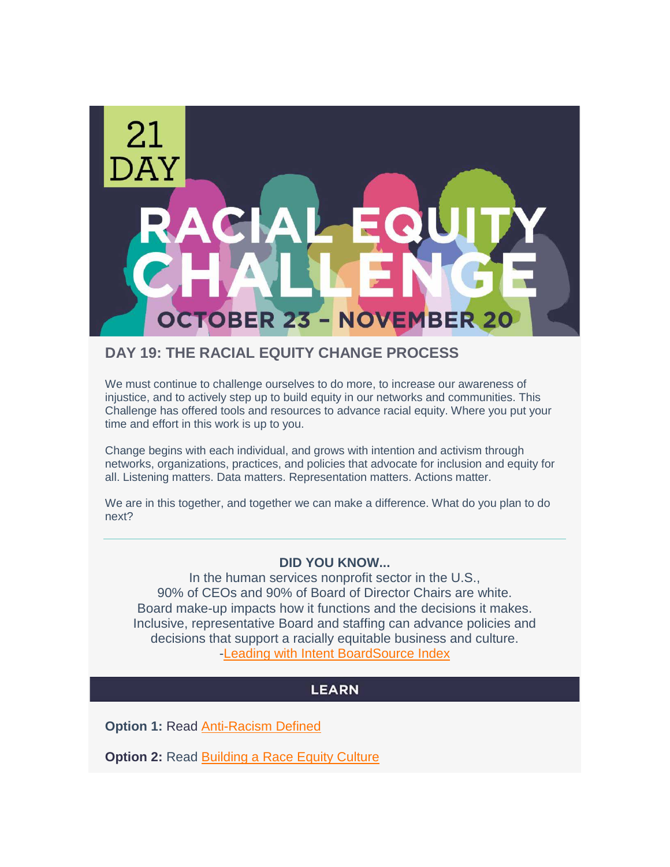

## **DAY 19: THE RACIAL EQUITY CHANGE PROCESS**

We must continue to challenge ourselves to do more, to increase our awareness of injustice, and to actively step up to build equity in our networks and communities. This Challenge has offered tools and resources to advance racial equity. Where you put your time and effort in this work is up to you.

Change begins with each individual, and grows with intention and activism through networks, organizations, practices, and policies that advocate for inclusion and equity for all. Listening matters. Data matters. Representation matters. Actions matter.

We are in this together, and together we can make a difference. What do you plan to do next?

### **DID YOU KNOW...**

In the human services nonprofit sector in the U.S., 90% of CEOs and 90% of Board of Director Chairs are white. Board make-up impacts how it functions and the decisions it makes. Inclusive, representative Board and staffing can advance policies and decisions that support a racially equitable business and culture. [-Leading with Intent BoardSource Index](https://leadingwithintent.org/?__hstc=98438528.ba67ae10d2265dea658e8dd4466a4fa5.1605300144430.1605300144430.1605300144430.1&__hssc=98438528.1.1605300144430&__hsfp=3357102055)

### **LEARN**

**Option 1: Read [Anti-Racism Defined](http://www.aclrc.com/antiracism-defined)** 

**Option 2: Read [Building a Race Equity Culture](https://equityinthecenter.org/wp-content/uploads/2020/09/ProInspire-Equity-in-Center-2019infographic-leadership-final.pdf)**